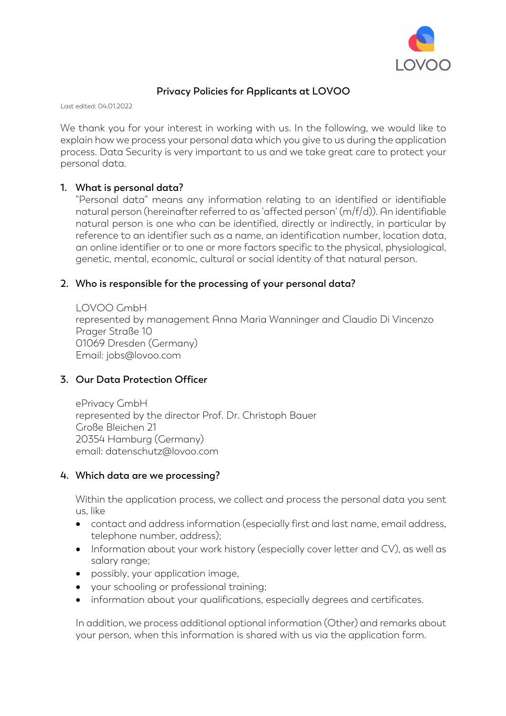

# **Privacy Policies for Applicants at LOVOO**

Last edited: 04.01.2022

We thank you for your interest in working with us. In the following, we would like to explain how we process your personal data which you give to us during the application process. Data Security is very important to us and we take great care to protect your personal data.

#### **1. What is personal data?**

"Personal data" means any information relating to an identified or identifiable natural person (hereinafter referred to as 'affected person' (m/f/d)). An identifiable natural person is one who can be identified, directly or indirectly, in particular by reference to an identifier such as a name, an identification number, location data, an online identifier or to one or more factors specific to the physical, physiological, genetic, mental, economic, cultural or social identity of that natural person.

#### **2. Who is responsible for the processing of your personal data?**

LOVOO GmbH represented by management Anna Maria Wanninger and Claudio Di Vincenzo Prager Straße 10 01069 Dresden (Germany) Email: jobs@lovoo.com

#### **3. Our Data Protection Officer**

ePrivacy GmbH represented by the director Prof. Dr. Christoph Bauer Große Bleichen 21 20354 Hamburg (Germany) email: datenschutz@lovoo.com

#### **4. Which data are we processing?**

Within the application process, we collect and process the personal data you sent us, like

- contact and address information (especially first and last name, email address, telephone number, address);
- Information about your work history (especially cover letter and CV), as well as salary range;
- possibly, your application image,
- your schooling or professional training;
- information about your qualifications, especially degrees and certificates.

In addition, we process additional optional information (Other) and remarks about your person, when this information is shared with us via the application form.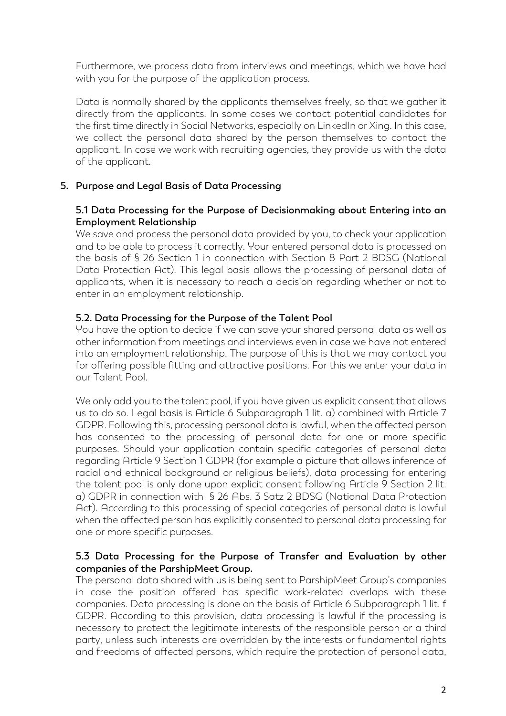Furthermore, we process data from interviews and meetings, which we have had with you for the purpose of the application process.

Data is normally shared by the applicants themselves freely, so that we gather it directly from the applicants. In some cases we contact potential candidates for the first time directly in Social Networks, especially on LinkedIn or Xing. In this case, we collect the personal data shared by the person themselves to contact the applicant. In case we work with recruiting agencies, they provide us with the data of the applicant.

# **5. Purpose and Legal Basis of Data Processing**

#### **5.1 Data Processing for the Purpose of Decisionmaking about Entering into an Employment Relationship**

We save and process the personal data provided by you, to check your application and to be able to process it correctly. Your entered personal data is processed on the basis of § 26 Section 1 in connection with Section 8 Part 2 BDSG (National Data Protection Act). This legal basis allows the processing of personal data of applicants, when it is necessary to reach a decision regarding whether or not to enter in an employment relationship.

## **5.2. Data Processing for the Purpose of the Talent Pool**

You have the option to decide if we can save your shared personal data as well as other information from meetings and interviews even in case we have not entered into an employment relationship. The purpose of this is that we may contact you for offering possible fitting and attractive positions. For this we enter your data in our Talent Pool.

We only add you to the talent pool, if you have given us explicit consent that allows us to do so. Legal basis is Article 6 Subparagraph 1 lit. a) combined with Article 7 GDPR. Following this, processing personal data is lawful, when the affected person has consented to the processing of personal data for one or more specific purposes. Should your application contain specific categories of personal data regarding Article 9 Section 1 GDPR (for example a picture that allows inference of racial and ethnical background or religious beliefs), data processing for entering the talent pool is only done upon explicit consent following Article 9 Section 2 lit. a) GDPR in connection with § 26 Abs. 3 Satz 2 BDSG (National Data Protection Act). According to this processing of special categories of personal data is lawful when the affected person has explicitly consented to personal data processing for one or more specific purposes.

## **5.3 Data Processing for the Purpose of Transfer and Evaluation by other companies of the ParshipMeet Group.**

The personal data shared with us is being sent to ParshipMeet Group's companies in case the position offered has specific work-related overlaps with these companies. Data processing is done on the basis of Article 6 Subparagraph 1 lit. f GDPR. According to this provision, data processing is lawful if the processing is necessary to protect the legitimate interests of the responsible person or a third party, unless such interests are overridden by the interests or fundamental rights and freedoms of affected persons, which require the protection of personal data,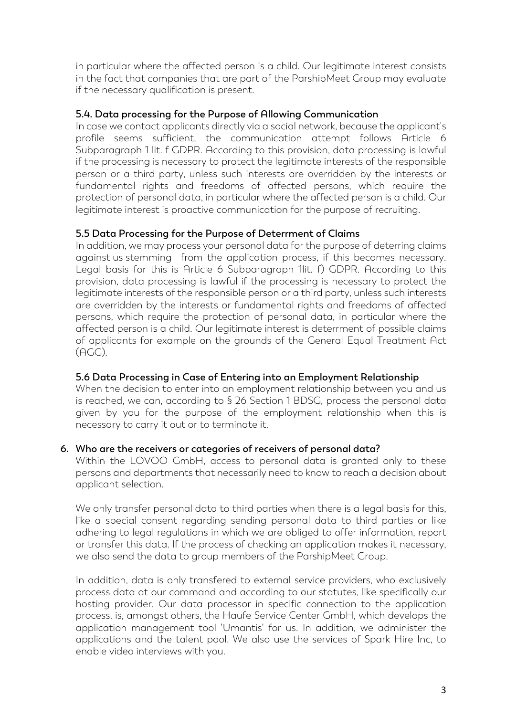in particular where the affected person is a child. Our legitimate interest consists in the fact that companies that are part of the ParshipMeet Group may evaluate if the necessary qualification is present.

## **5.4. Data processing for the Purpose of Allowing Communication**

In case we contact applicants directly via a social network, because the applicant's profile seems sufficient, the communication attempt follows Article 6 Subparagraph 1 lit. f GDPR. According to this provision, data processing is lawful if the processing is necessary to protect the legitimate interests of the responsible person or a third party, unless such interests are overridden by the interests or fundamental rights and freedoms of affected persons, which require the protection of personal data, in particular where the affected person is a child. Our legitimate interest is proactive communication for the purpose of recruiting.

## **5.5 Data Processing for the Purpose of Deterrment of Claims**

In addition, we may process your personal data for the purpose of deterring claims against us stemming from the application process, if this becomes necessary. Legal basis for this is Article 6 Subparagraph 1lit. f) GDPR. According to this provision, data processing is lawful if the processing is necessary to protect the legitimate interests of the responsible person or a third party, unless such interests are overridden by the interests or fundamental rights and freedoms of affected persons, which require the protection of personal data, in particular where the affected person is a child. Our legitimate interest is deterrment of possible claims of applicants for example on the grounds of the General Equal Treatment Act  $(AGG)$ .

#### **5.6 Data Processing in Case of Entering into an Employment Relationship**

When the decision to enter into an employment relationship between you and us is reached, we can, according to § 26 Section 1 BDSG, process the personal data given by you for the purpose of the employment relationship when this is necessary to carry it out or to terminate it.

#### **6. Who are the receivers or categories of receivers of personal data?**

Within the LOVOO GmbH, access to personal data is granted only to these persons and departments that necessarily need to know to reach a decision about applicant selection.

We only transfer personal data to third parties when there is a legal basis for this, like a special consent regarding sending personal data to third parties or like adhering to legal regulations in which we are obliged to offer information, report or transfer this data. If the process of checking an application makes it necessary, we also send the data to group members of the ParshipMeet Group.

In addition, data is only transfered to external service providers, who exclusively process data at our command and according to our statutes, like specifically our hosting provider. Our data processor in specific connection to the application process, is, amongst others, the Haufe Service Center GmbH, which develops the application management tool 'Umantis' for us. In addition, we administer the applications and the talent pool. We also use the services of Spark Hire Inc, to enable video interviews with you.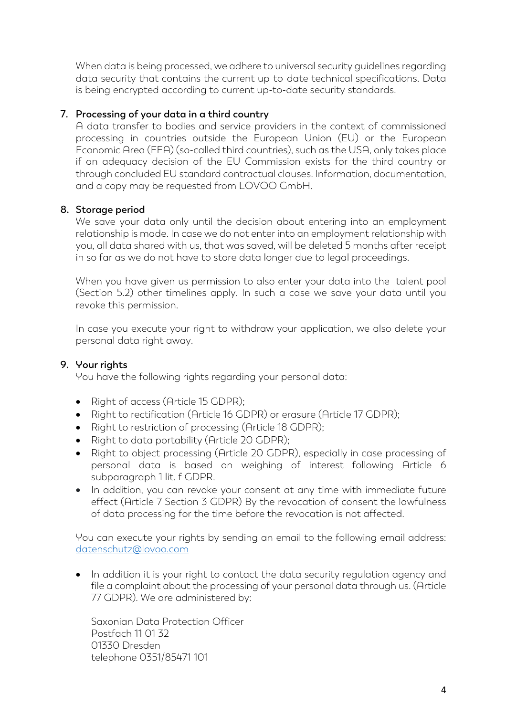When data is being processed, we adhere to universal security guidelines regarding data security that contains the current up-to-date technical specifications. Data is being encrypted according to current up-to-date security standards.

## **7. Processing of your data in a third country**

A data transfer to bodies and service providers in the context of commissioned processing in countries outside the European Union (EU) or the European Economic Area (EEA) (so-called third countries), such as the USA, only takes place if an adequacy decision of the EU Commission exists for the third country or through concluded EU standard contractual clauses. Information, documentation, and a copy may be requested from LOVOO GmbH.

#### **8. Storage period**

We save your data only until the decision about entering into an employment relationship is made. In case we do not enter into an employment relationship with you, all data shared with us, that was saved, will be deleted 5 months after receipt in so far as we do not have to store data longer due to legal proceedings.

When you have given us permission to also enter your data into the talent pool (Section 5.2) other timelines apply. In such a case we save your data until you revoke this permission.

In case you execute your right to withdraw your application, we also delete your personal data right away.

# **9. Your rights**

You have the following rights regarding your personal data:

- Right of access (Article 15 GDPR);
- Right to rectification (Article 16 GDPR) or erasure (Article 17 GDPR):
- Right to restriction of processing (Article 18 GDPR);
- Right to data portability (Article 20 GDPR);
- Right to object processing (Article 20 GDPR), especially in case processing of personal data is based on weighing of interest following Article 6 subparagraph 1 lit. f GDPR.
- In addition, you can revoke your consent at any time with immediate future effect (Article 7 Section 3 GDPR) By the revocation of consent the lawfulness of data processing for the time before the revocation is not affected.

You can execute your rights by sending an email to the following email address: datenschutz@lovoo.com

• In addition it is your right to contact the data security regulation agency and file a complaint about the processing of your personal data through us. (Article 77 GDPR). We are administered by:

Saxonian Data Protection Officer Postfach 11 01 32 01330 Dresden telephone 0351/85471 101